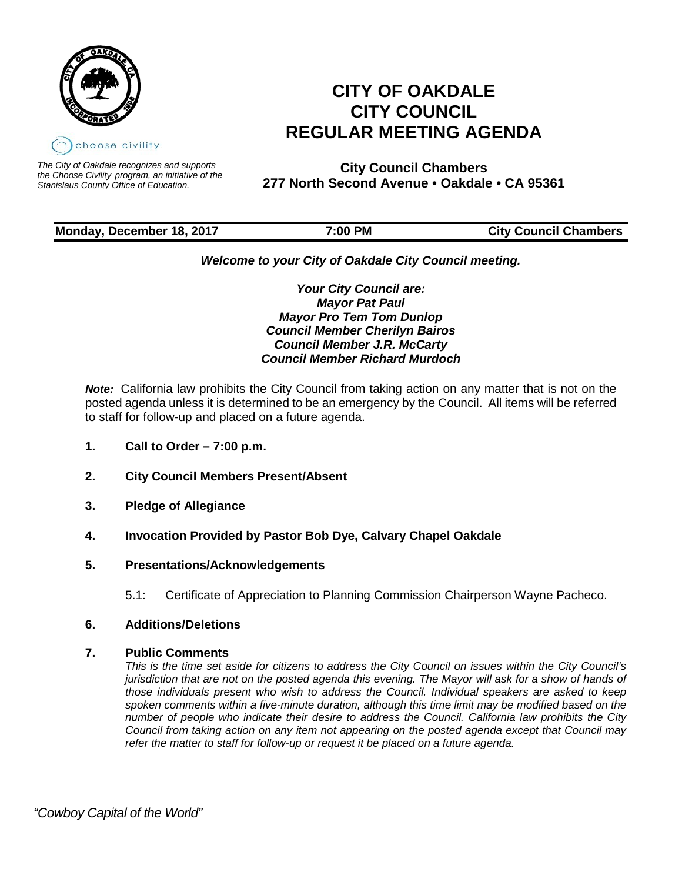

*The City of Oakdale recognizes and supports the Choose Civility program, an initiative of the Stanislaus County Office of Education.*

# **CITY OF OAKDALE CITY COUNCIL REGULAR MEETING AGENDA**

**City Council Chambers 277 North Second Avenue • Oakdale • CA 95361**

# **Monday, December 18, 2017**  7:00 PM City Council Chambers

# *Welcome to your City of Oakdale City Council meeting.*

*Your City Council are: Mayor Pat Paul Mayor Pro Tem Tom Dunlop Council Member Cherilyn Bairos Council Member J.R. McCarty Council Member Richard Murdoch*

*Note:* California law prohibits the City Council from taking action on any matter that is not on the posted agenda unless it is determined to be an emergency by the Council. All items will be referred to staff for follow-up and placed on a future agenda.

- **1. Call to Order – 7:00 p.m.**
- **2. City Council Members Present/Absent**
- **3. Pledge of Allegiance**
- **4. Invocation Provided by Pastor Bob Dye, Calvary Chapel Oakdale**

# **5. Presentations/Acknowledgements**

5.1: Certificate of Appreciation to Planning Commission Chairperson Wayne Pacheco.

# **6. Additions/Deletions**

# **7. Public Comments**

*This is the time set aside for citizens to address the City Council on issues within the City Council's jurisdiction that are not on the posted agenda this evening. The Mayor will ask for a show of hands of those individuals present who wish to address the Council. Individual speakers are asked to keep spoken comments within a five-minute duration, although this time limit may be modified based on the number of people who indicate their desire to address the Council. California law prohibits the City Council from taking action on any item not appearing on the posted agenda except that Council may refer the matter to staff for follow-up or request it be placed on a future agenda.*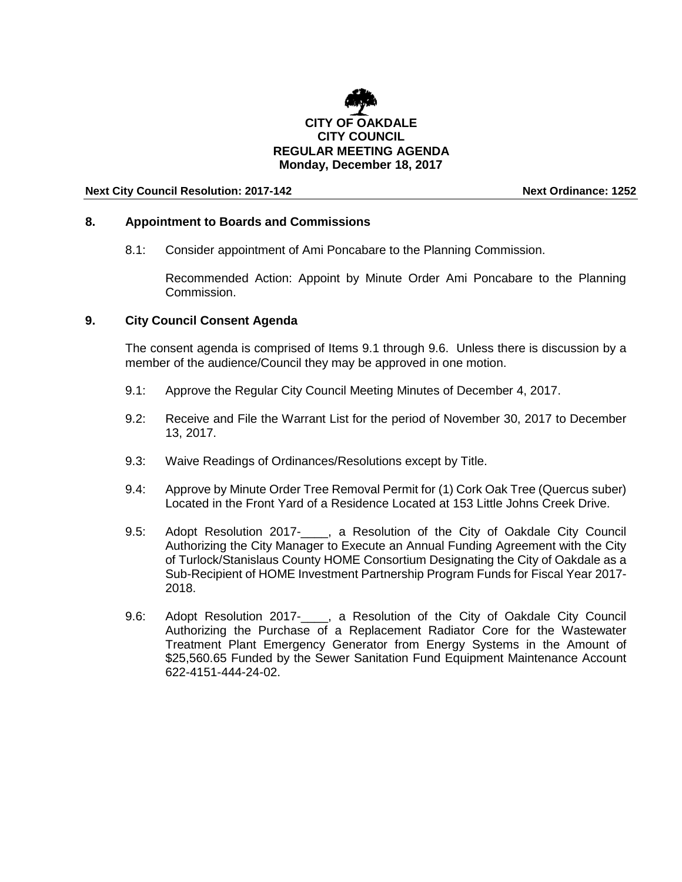

## **8. Appointment to Boards and Commissions**

8.1: Consider appointment of Ami Poncabare to the Planning Commission.

Recommended Action: Appoint by Minute Order Ami Poncabare to the Planning Commission.

## **9. City Council Consent Agenda**

The consent agenda is comprised of Items 9.1 through 9.6. Unless there is discussion by a member of the audience/Council they may be approved in one motion.

- 9.1: Approve the Regular City Council Meeting Minutes of December 4, 2017.
- 9.2: Receive and File the Warrant List for the period of November 30, 2017 to December 13, 2017.
- 9.3: Waive Readings of Ordinances/Resolutions except by Title.
- 9.4: Approve by Minute Order Tree Removal Permit for (1) Cork Oak Tree (Quercus suber) Located in the Front Yard of a Residence Located at 153 Little Johns Creek Drive.
- 9.5: Adopt Resolution 2017-\_\_\_\_, a Resolution of the City of Oakdale City Council Authorizing the City Manager to Execute an Annual Funding Agreement with the City of Turlock/Stanislaus County HOME Consortium Designating the City of Oakdale as a Sub-Recipient of HOME Investment Partnership Program Funds for Fiscal Year 2017- 2018.
- 9.6: Adopt Resolution 2017-\_\_\_\_, a Resolution of the City of Oakdale City Council Authorizing the Purchase of a Replacement Radiator Core for the Wastewater Treatment Plant Emergency Generator from Energy Systems in the Amount of \$25,560.65 Funded by the Sewer Sanitation Fund Equipment Maintenance Account 622-4151-444-24-02.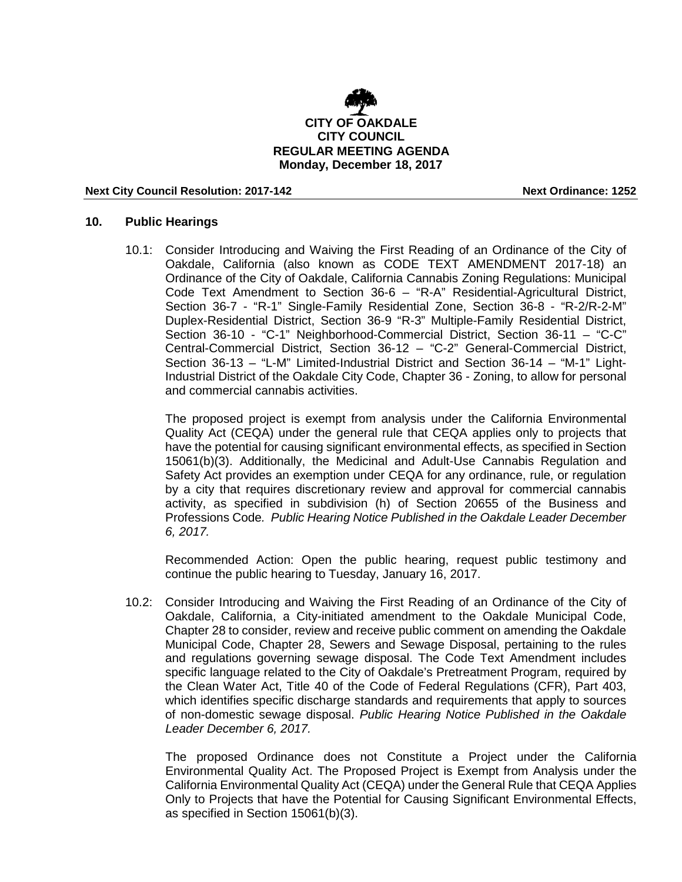

# **10. Public Hearings**

10.1: Consider Introducing and Waiving the First Reading of an Ordinance of the City of Oakdale, California (also known as CODE TEXT AMENDMENT 2017-18) an Ordinance of the City of Oakdale, California Cannabis Zoning Regulations: Municipal Code Text Amendment to Section 36-6 – "R-A" Residential-Agricultural District, Section 36-7 - "R-1" Single-Family Residential Zone, Section 36-8 - "R-2/R-2-M" Duplex-Residential District, Section 36-9 "R-3" Multiple-Family Residential District, Section 36-10 - "C-1" Neighborhood-Commercial District, Section 36-11 – "C-C" Central-Commercial District, Section 36-12 – "C-2" General-Commercial District, Section 36-13 – "L-M" Limited-Industrial District and Section 36-14 – "M-1" Light-Industrial District of the Oakdale City Code, Chapter 36 - Zoning, to allow for personal and commercial cannabis activities.

The proposed project is exempt from analysis under the California Environmental Quality Act (CEQA) under the general rule that CEQA applies only to projects that have the potential for causing significant environmental effects, as specified in Section 15061(b)(3). Additionally, the Medicinal and Adult-Use Cannabis Regulation and Safety Act provides an exemption under CEQA for any ordinance, rule, or regulation by a city that requires discretionary review and approval for commercial cannabis activity, as specified in subdivision (h) of Section 20655 of the Business and Professions Code*. Public Hearing Notice Published in the Oakdale Leader December 6, 2017.*

Recommended Action: Open the public hearing, request public testimony and continue the public hearing to Tuesday, January 16, 2017.

10.2: Consider Introducing and Waiving the First Reading of an Ordinance of the City of Oakdale, California, a City-initiated amendment to the Oakdale Municipal Code, Chapter 28 to consider, review and receive public comment on amending the Oakdale Municipal Code, Chapter 28, Sewers and Sewage Disposal, pertaining to the rules and regulations governing sewage disposal. The Code Text Amendment includes specific language related to the City of Oakdale's Pretreatment Program, required by the Clean Water Act, Title 40 of the Code of Federal Regulations (CFR), Part 403, which identifies specific discharge standards and requirements that apply to sources of non-domestic sewage disposal. *Public Hearing Notice Published in the Oakdale Leader December 6, 2017.*

The proposed Ordinance does not Constitute a Project under the California Environmental Quality Act. The Proposed Project is Exempt from Analysis under the California Environmental Quality Act (CEQA) under the General Rule that CEQA Applies Only to Projects that have the Potential for Causing Significant Environmental Effects, as specified in Section 15061(b)(3).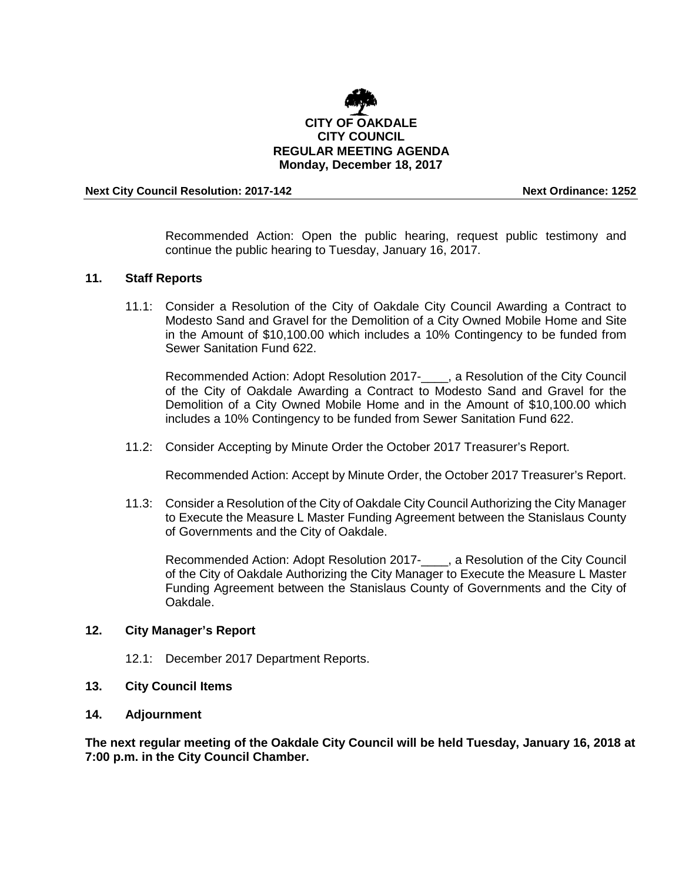

Recommended Action: Open the public hearing, request public testimony and continue the public hearing to Tuesday, January 16, 2017.

## **11. Staff Reports**

11.1: Consider a Resolution of the City of Oakdale City Council Awarding a Contract to Modesto Sand and Gravel for the Demolition of a City Owned Mobile Home and Site in the Amount of \$10,100.00 which includes a 10% Contingency to be funded from Sewer Sanitation Fund 622.

Recommended Action: Adopt Resolution 2017-\_\_\_\_, a Resolution of the City Council of the City of Oakdale Awarding a Contract to Modesto Sand and Gravel for the Demolition of a City Owned Mobile Home and in the Amount of \$10,100.00 which includes a 10% Contingency to be funded from Sewer Sanitation Fund 622.

11.2: Consider Accepting by Minute Order the October 2017 Treasurer's Report.

Recommended Action: Accept by Minute Order, the October 2017 Treasurer's Report.

11.3: Consider a Resolution of the City of Oakdale City Council Authorizing the City Manager to Execute the Measure L Master Funding Agreement between the Stanislaus County of Governments and the City of Oakdale.

Recommended Action: Adopt Resolution 2017-\_\_\_\_, a Resolution of the City Council of the City of Oakdale Authorizing the City Manager to Execute the Measure L Master Funding Agreement between the Stanislaus County of Governments and the City of Oakdale.

## **12. City Manager's Report**

- 12.1: December 2017 Department Reports.
- **13. City Council Items**
- **14. Adjournment**

**The next regular meeting of the Oakdale City Council will be held Tuesday, January 16, 2018 at 7:00 p.m. in the City Council Chamber.**